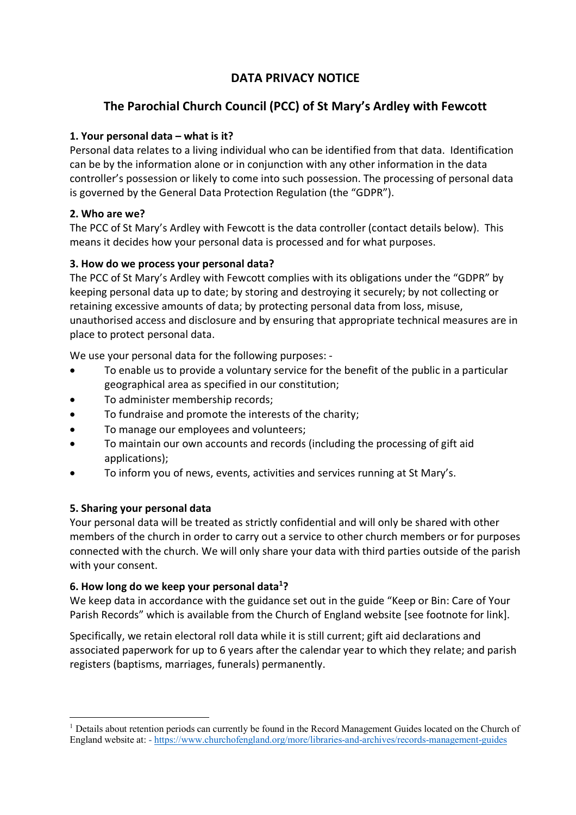## **DATA PRIVACY NOTICE**

# **The Parochial Church Council (PCC) of St Mary's Ardley with Fewcott**

## **1. Your personal data – what is it?**

Personal data relates to a living individual who can be identified from that data. Identification can be by the information alone or in conjunction with any other information in the data controller's possession or likely to come into such possession. The processing of personal data is governed by the General Data Protection Regulation (the "GDPR").

### **2. Who are we?**

The PCC of St Mary's Ardley with Fewcott is the data controller (contact details below). This means it decides how your personal data is processed and for what purposes.

## **3. How do we process your personal data?**

The PCC of St Mary's Ardley with Fewcott complies with its obligations under the "GDPR" by keeping personal data up to date; by storing and destroying it securely; by not collecting or retaining excessive amounts of data; by protecting personal data from loss, misuse, unauthorised access and disclosure and by ensuring that appropriate technical measures are in place to protect personal data.

We use your personal data for the following purposes: -

- To enable us to provide a voluntary service for the benefit of the public in a particular geographical area as specified in our constitution;
- To administer membership records;
- To fundraise and promote the interests of the charity;
- To manage our employees and volunteers;
- To maintain our own accounts and records (including the processing of gift aid applications);
- To inform you of news, events, activities and services running at St Mary's.

### **5. Sharing your personal data**

Your personal data will be treated as strictly confidential and will only be shared with other members of the church in order to carry out a service to other church members or for purposes connected with the church. We will only share your data with third parties outside of the parish with your consent.

### **6. How long do we keep your personal data1 ?**

We keep data in accordance with the guidance set out in the guide "Keep or Bin: Care of Your Parish Records" which is available from the Church of England website [see footnote for link].

Specifically, we retain electoral roll data while it is still current; gift aid declarations and associated paperwork for up to 6 years after the calendar year to which they relate; and parish registers (baptisms, marriages, funerals) permanently.

 <sup>1</sup> Details about retention periods can currently be found in the Record Management Guides located on the Church of England website at: - https://www.churchofengland.org/more/libraries-and-archives/records-management-guides